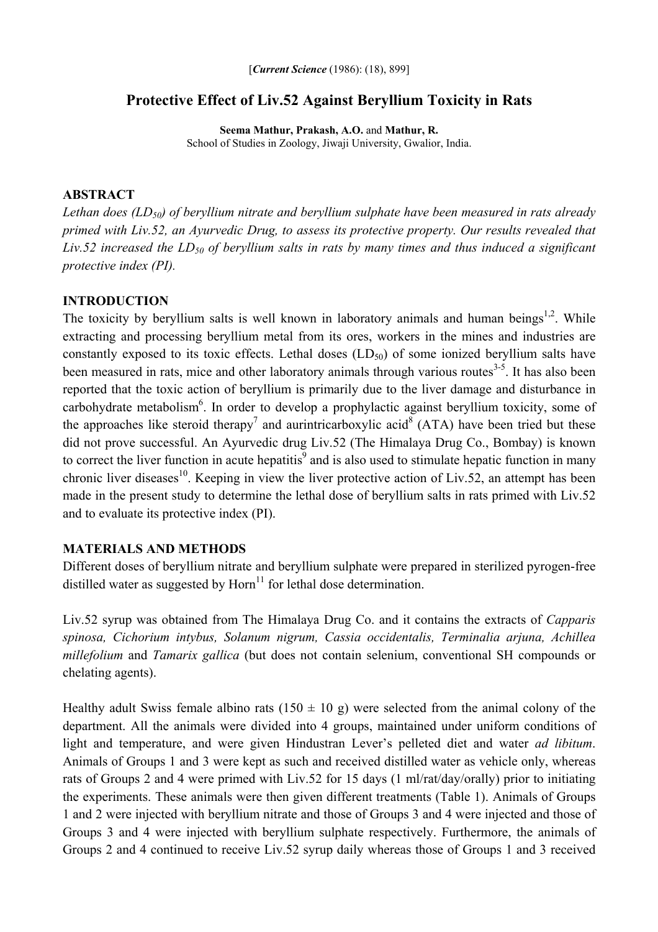# **Protective Effect of Liv.52 Against Beryllium Toxicity in Rats**

**Seema Mathur, Prakash, A.O.** and **Mathur, R.**  School of Studies in Zoology, Jiwaji University, Gwalior, India.

### **ABSTRACT**

*Lethan does (LD50) of beryllium nitrate and beryllium sulphate have been measured in rats already primed with Liv.52, an Ayurvedic Drug, to assess its protective property. Our results revealed that*  Liv.52 increased the LD<sub>50</sub> of beryllium salts in rats by many times and thus induced a significant *protective index (PI).* 

### **INTRODUCTION**

The toxicity by beryllium salts is well known in laboratory animals and human beings<sup>1,2</sup>. While extracting and processing beryllium metal from its ores, workers in the mines and industries are constantly exposed to its toxic effects. Lethal doses  $(LD_{50})$  of some ionized beryllium salts have been measured in rats, mice and other laboratory animals through various routes<sup>3-5</sup>. It has also been reported that the toxic action of beryllium is primarily due to the liver damage and disturbance in carbohydrate metabolism<sup>6</sup>. In order to develop a prophylactic against beryllium toxicity, some of the approaches like steroid therapy<sup>7</sup> and aurintricarboxylic acid<sup>8</sup> (ATA) have been tried but these did not prove successful. An Ayurvedic drug Liv.52 (The Himalaya Drug Co., Bombay) is known to correct the liver function in acute hepatitis<sup>9</sup> and is also used to stimulate hepatic function in many chronic liver diseases<sup>10</sup>. Keeping in view the liver protective action of Liv.52, an attempt has been made in the present study to determine the lethal dose of beryllium salts in rats primed with Liv.52 and to evaluate its protective index (PI).

### **MATERIALS AND METHODS**

Different doses of beryllium nitrate and beryllium sulphate were prepared in sterilized pyrogen-free distilled water as suggested by Horn<sup>11</sup> for lethal dose determination.

Liv.52 syrup was obtained from The Himalaya Drug Co. and it contains the extracts of *Capparis spinosa, Cichorium intybus, Solanum nigrum, Cassia occidentalis, Terminalia arjuna, Achillea millefolium* and *Tamarix gallica* (but does not contain selenium, conventional SH compounds or chelating agents).

Healthy adult Swiss female albino rats  $(150 \pm 10 \text{ g})$  were selected from the animal colony of the department. All the animals were divided into 4 groups, maintained under uniform conditions of light and temperature, and were given Hindustran Lever's pelleted diet and water *ad libitum*. Animals of Groups 1 and 3 were kept as such and received distilled water as vehicle only, whereas rats of Groups 2 and 4 were primed with Liv.52 for 15 days (1 ml/rat/day/orally) prior to initiating the experiments. These animals were then given different treatments (Table 1). Animals of Groups 1 and 2 were injected with beryllium nitrate and those of Groups 3 and 4 were injected and those of Groups 3 and 4 were injected with beryllium sulphate respectively. Furthermore, the animals of Groups 2 and 4 continued to receive Liv.52 syrup daily whereas those of Groups 1 and 3 received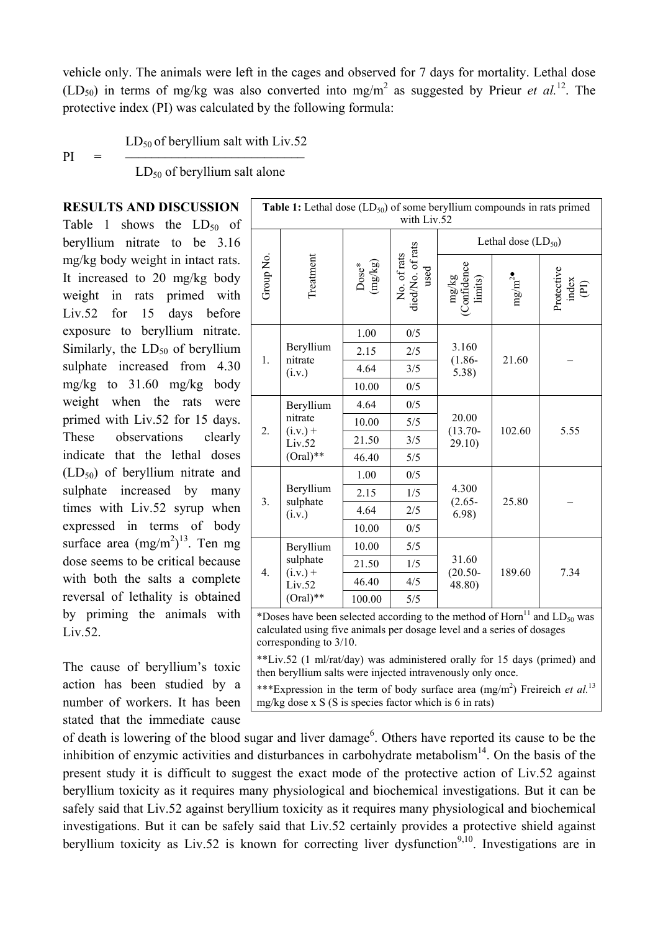vehicle only. The animals were left in the cages and observed for 7 days for mortality. Lethal dose  $(LD_{50})$  in terms of mg/kg was also converted into mg/m<sup>2</sup> as suggested by Prieur *et al.*<sup>12</sup>. The protective index (PI) was calculated by the following formula:

 $LD_{50}$  of beryllium salt with Liv.52

 $PI =$   $-$ 

 $LD_{50}$  of beryllium salt alone

**RESULTS AND DISCUSSION** Table 1 shows the  $LD_{50}$  of beryllium nitrate to be 3.16 mg/kg body weight in intact rats. It increased to 20 mg/kg body weight in rats primed with Liv.52 for 15 days before exposure to beryllium nitrate. Similarly, the  $LD_{50}$  of beryllium sulphate increased from 4.30 mg/kg to 31.60 mg/kg body weight when the rats were primed with Liv.52 for 15 days. These observations clearly indicate that the lethal doses  $(LD<sub>50</sub>)$  of beryllium nitrate and sulphate increased by many times with Liv.52 syrup when expressed in terms of body surface area  $(mg/m<sup>2</sup>)<sup>13</sup>$ . Ten mg dose seems to be critical because with both the salts a complete reversal of lethality is obtained by priming the animals with Liv.52.

The cause of beryllium's toxic action has been studied by a number of workers. It has been stated that the immediate cause

| Table 1: Lethal dose $(LD_{50})$ of some beryllium compounds in rats primed<br>with Liv.52                                                                                                           |                                                             |                                       |                                        |                                  |                   |                                                   |
|------------------------------------------------------------------------------------------------------------------------------------------------------------------------------------------------------|-------------------------------------------------------------|---------------------------------------|----------------------------------------|----------------------------------|-------------------|---------------------------------------------------|
|                                                                                                                                                                                                      |                                                             |                                       |                                        | Lethal dose $(LD_{50})$          |                   |                                                   |
| Group No.                                                                                                                                                                                            | Treatment                                                   | $\frac{\text{Dose*}}{\text{(mg/kg)}}$ | No. of rats<br>diedNo. of rats<br>used | $mg/kg$<br>Confidence<br>limits) | mg/m <sup>2</sup> | Protective<br>$\frac{\text{index}}{\text{index}}$ |
| 1.                                                                                                                                                                                                   | Beryllium<br>nitrate<br>(i.v.)                              | 1.00                                  | 0/5                                    | 3.160<br>$(1.86 -$<br>5.38)      | 21.60             |                                                   |
|                                                                                                                                                                                                      |                                                             | 2.15                                  | 2/5                                    |                                  |                   |                                                   |
|                                                                                                                                                                                                      |                                                             | 4.64                                  | 3/5                                    |                                  |                   |                                                   |
|                                                                                                                                                                                                      |                                                             | 10.00                                 | 0/5                                    |                                  |                   |                                                   |
| 2.                                                                                                                                                                                                   | Beryllium<br>nitrate<br>$(i.v.) +$<br>Liv.52<br>$(Oral)**$  | 4.64                                  | 0/5                                    | 20.00<br>$(13.70 -$<br>29.10)    | 102.60            | 5.55                                              |
|                                                                                                                                                                                                      |                                                             | 10.00                                 | 5/5                                    |                                  |                   |                                                   |
|                                                                                                                                                                                                      |                                                             | 21.50                                 | 3/5                                    |                                  |                   |                                                   |
|                                                                                                                                                                                                      |                                                             | 46.40                                 | 5/5                                    |                                  |                   |                                                   |
| 3.                                                                                                                                                                                                   | Beryllium<br>sulphate<br>(i.v.)                             | 1.00                                  | 0/5                                    | 4.300<br>$(2.65 -$<br>6.98       | 25.80             |                                                   |
|                                                                                                                                                                                                      |                                                             | 2.15                                  | 1/5                                    |                                  |                   |                                                   |
|                                                                                                                                                                                                      |                                                             | 4.64                                  | 2/5                                    |                                  |                   |                                                   |
|                                                                                                                                                                                                      |                                                             | 10.00                                 | 0/5                                    |                                  |                   |                                                   |
| 4.                                                                                                                                                                                                   | Beryllium<br>sulphate<br>$(i.v.) +$<br>Liv.52<br>$(Oral)**$ | 10.00                                 | 5/5                                    | 31.60<br>$(20.50 -$<br>48.80)    | 189.60            | 7.34                                              |
|                                                                                                                                                                                                      |                                                             | 21.50                                 | 1/5                                    |                                  |                   |                                                   |
|                                                                                                                                                                                                      |                                                             | 46.40                                 | 4/5                                    |                                  |                   |                                                   |
|                                                                                                                                                                                                      |                                                             | 100.00                                | 5/5                                    |                                  |                   |                                                   |
| *Doses have been selected according to the method of $\text{Horn}^{11}$ and $\text{LD}_{50}$ was<br>calculated using five animals per dosage level and a series of dosages<br>corresponding to 3/10. |                                                             |                                       |                                        |                                  |                   |                                                   |
| **Liv.52 (1 ml/rat/day) was administered orally for 15 days (primed) and<br>then beryllium salts were injected intravenously only once.                                                              |                                                             |                                       |                                        |                                  |                   |                                                   |

\*\*\*Expression in the term of body surface area (mg/m<sup>2</sup>) Freireich *et al.*<sup>13</sup> mg/kg dose x S (S is species factor which is 6 in rats)

of death is lowering of the blood sugar and liver damage<sup>6</sup>. Others have reported its cause to be the inhibition of enzymic activities and disturbances in carbohydrate metabolism $14$ . On the basis of the present study it is difficult to suggest the exact mode of the protective action of Liv.52 against beryllium toxicity as it requires many physiological and biochemical investigations. But it can be safely said that Liv.52 against beryllium toxicity as it requires many physiological and biochemical investigations. But it can be safely said that Liv.52 certainly provides a protective shield against beryllium toxicity as Liv.52 is known for correcting liver dysfunction<sup>9,10</sup>. Investigations are in